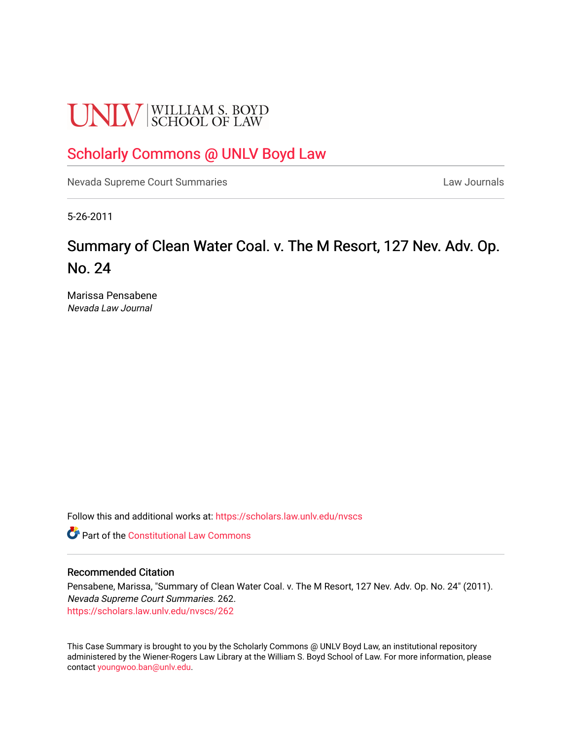# **UNLV** SCHOOL OF LAW

### [Scholarly Commons @ UNLV Boyd Law](https://scholars.law.unlv.edu/)

[Nevada Supreme Court Summaries](https://scholars.law.unlv.edu/nvscs) **Law Journals** Law Journals

5-26-2011

## Summary of Clean Water Coal. v. The M Resort, 127 Nev. Adv. Op. No. 24

Marissa Pensabene Nevada Law Journal

Follow this and additional works at: [https://scholars.law.unlv.edu/nvscs](https://scholars.law.unlv.edu/nvscs?utm_source=scholars.law.unlv.edu%2Fnvscs%2F262&utm_medium=PDF&utm_campaign=PDFCoverPages)

**C** Part of the Constitutional Law Commons

#### Recommended Citation

Pensabene, Marissa, "Summary of Clean Water Coal. v. The M Resort, 127 Nev. Adv. Op. No. 24" (2011). Nevada Supreme Court Summaries. 262. [https://scholars.law.unlv.edu/nvscs/262](https://scholars.law.unlv.edu/nvscs/262?utm_source=scholars.law.unlv.edu%2Fnvscs%2F262&utm_medium=PDF&utm_campaign=PDFCoverPages)

This Case Summary is brought to you by the Scholarly Commons @ UNLV Boyd Law, an institutional repository administered by the Wiener-Rogers Law Library at the William S. Boyd School of Law. For more information, please contact [youngwoo.ban@unlv.edu](mailto:youngwoo.ban@unlv.edu).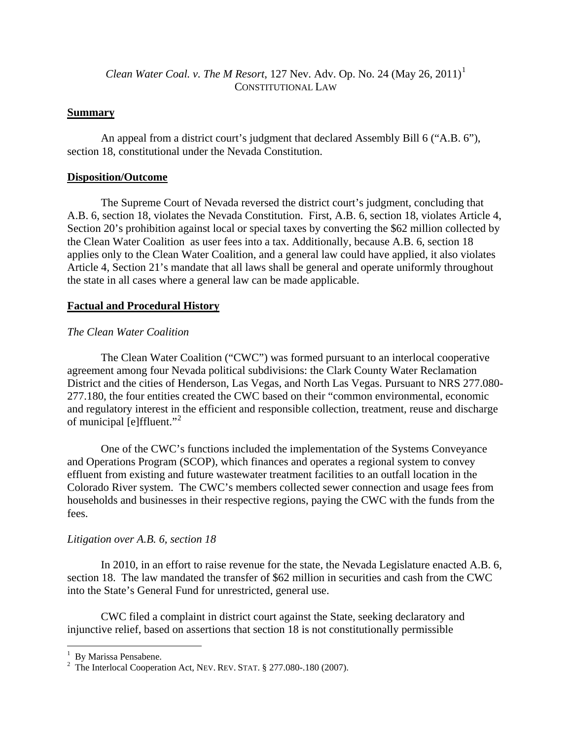*Clean Water Coal. v. The M Resort*, [1](#page-1-0)27 Nev. Adv. Op. No. 24 (May 26, 2011)<sup>1</sup> CONSTITUTIONAL LAW

#### **Summary**

An appeal from a district court's judgment that declared Assembly Bill 6 ("A.B. 6"), section 18, constitutional under the Nevada Constitution.

#### **Disposition/Outcome**

The Supreme Court of Nevada reversed the district court's judgment, concluding that A.B. 6, section 18, violates the Nevada Constitution. First, A.B. 6, section 18, violates Article 4, Section 20's prohibition against local or special taxes by converting the \$62 million collected by the Clean Water Coalition as user fees into a tax. Additionally, because A.B. 6, section 18 applies only to the Clean Water Coalition, and a general law could have applied, it also violates Article 4, Section 21's mandate that all laws shall be general and operate uniformly throughout the state in all cases where a general law can be made applicable.

#### **Factual and Procedural History**

#### *The Clean Water Coalition*

The Clean Water Coalition ("CWC") was formed pursuant to an interlocal cooperative agreement among four Nevada political subdivisions: the Clark County Water Reclamation District and the cities of Henderson, Las Vegas, and North Las Vegas. Pursuant to NRS 277.080- 277.180, the four entities created the CWC based on their "common environmental, economic and regulatory interest in the efficient and responsible collection, treatment, reuse and discharge of municipal [e]ffluent."[2](#page-1-1)

One of the CWC's functions included the implementation of the Systems Conveyance and Operations Program (SCOP), which finances and operates a regional system to convey effluent from existing and future wastewater treatment facilities to an outfall location in the Colorado River system. The CWC's members collected sewer connection and usage fees from households and businesses in their respective regions, paying the CWC with the funds from the fees.

#### *Litigation over A.B. 6, section 18*

In 2010, in an effort to raise revenue for the state, the Nevada Legislature enacted A.B. 6, section 18. The law mandated the transfer of \$62 million in securities and cash from the CWC into the State's General Fund for unrestricted, general use.

CWC filed a complain t in district court against the State, seeking declaratory and injunctive relief, based on assertions that section 18 is not constitutionally permissible

<span id="page-1-0"></span><sup>&</sup>lt;sup>1</sup> By Marissa Pensabene.

<span id="page-1-1"></span> $2^2$  The Interlocal Cooperation Act, NEV. REV. STAT. § 277.080-.180 (2007).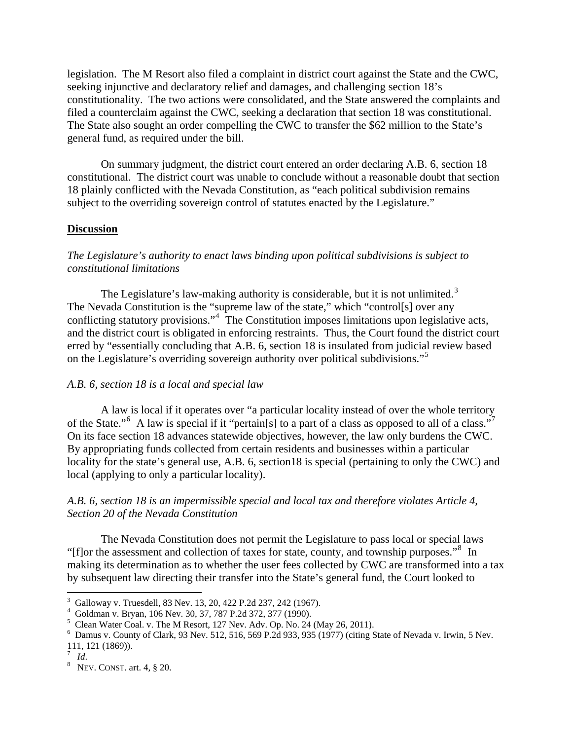legislation. The M Resort also filed a complaint in district court against the State and the CWC, seeking injunctive and declaratory relief and damages, and challenging section 18's constitutionality. The two actions were consolidated, and the State answered the complaints and filed a counterclaim against the CWC, seeking a declaration that section 18 was constitutional. The State also sought an order compelling the CWC to transfer the \$62 million to the State's general fund, as required under the bill.

On summary judgment, the district court entered an order declaring A.B. 6, section 18 constitutional. The district court was unable to conclude without a reasonable doubt that section 18 plainly conflicted with the Nevada Constitution, as "each political subdivision remains subject to the overriding sovereign control of statutes enacted by the Legislature."

#### **Discussion**

#### *The Legislature's authority to enact laws binding upon political subdivisions is subject to constitutional limitations*

The Legislature's law-making authority is considerable, but it is not unlimited.<sup>[3](#page-2-0)</sup> The Nevada Constitution is the "supreme law of the state," which "control[s] over any conflicting statutory provisions."<sup>[4](#page-2-1)</sup> The Constitution imposes limitations upon legislative acts, and the district court is obligated in enforcing restraints. Thus, the Court found the district court erred by "essentially concluding that A.B. 6, section 18 is insulated from judicial review based on the Legislature's overriding sovereign authority over political subdivisions."[5](#page-2-2)

#### *A.B. 6, section 18 is a local and special law*

A law is local if it operates over "a particular locality instead of over the whole territory of the State."<sup>[6](#page-2-3)</sup> A law is special if it "pertain[s] to a part of a class as opposed to all of a class."<sup>[7](#page-2-4)</sup> On its face section 18 advances statewide objectives, however, the law only burdens the CWC. By appropriating funds collected from certain residents and businesses within a particular locality for the state's general use, A.B. 6, section18 is special (pertaining to only the CWC) and local (applying to only a particular locality).

#### *A.B. 6, section 18 is an impermissible special and local tax and therefore violates Article 4, Section 20 of the Nevada Constitution*

The Nevada Constitution does not permit the Legislature to pass local or special laws "[f]or the assessment and collection of taxes for state, county, and township purposes."<sup>[8](#page-2-5)</sup> In making its determination as to whether the user fees collected by CWC are transformed into a tax by subsequent law directing their transfer into the State's general fund, the Court looked to

<span id="page-2-0"></span><sup>3</sup> Galloway v. Truesdell, 83 Nev. 13, 20, 422 P.2d 237, 242 (1967).

<span id="page-2-1"></span><sup>4</sup> Goldman v. Bryan, 106 Nev. 30, 37, 787 P.2d 372, 377 (1990).

<span id="page-2-2"></span><sup>&</sup>lt;sup>5</sup> Clean Water Coal. v. The M Resort, 127 Nev. Adv. Op. No. 24 (May 26, 2011).<br><sup>6</sup> Demus v. County of Clerk, 03 Nov. 512, 546, 560 B 2d 033, 035 (1077) (oiting S

<span id="page-2-3"></span>Damus v. County of Clark, 93 Nev. 512, 516, 569 P.2d 933, 935 (1977) (citing State of Nevada v. Irwin, 5 Nev. 111, 121 (1869)).

 $\frac{7}{8}$  *Id.* 

<span id="page-2-5"></span><span id="page-2-4"></span> $8$  Nev. CONST. art. 4,  $\S$  20.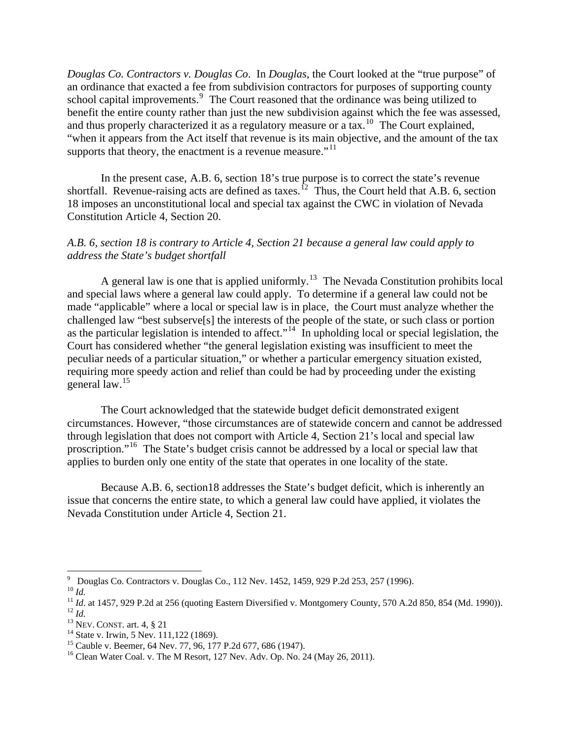*Douglas Co. Contractors v. Douglas Co*. In *Douglas*, the Court looked at the "true purpose" of an ordinance that exacted a fee from subdivision contractors for purposes of supporting county school capital improvements. $9$  The Court reasoned that the ordinance was being utilized to benefit the entire county rather than just the new subdivision against which the fee was assessed, and thus properly characterized it as a regulatory measure or a tax.<sup>[10](#page-3-1)</sup> The Court explained, "when it appears from the Act itself that revenue is its main objective, and the amount of the tax supports that theory, the enactment is a revenue measure."<sup>[11](#page-3-2)</sup>

In the present case, A.B. 6, section 18's true purpose is to correct the state's revenue shortfall. Revenue-raising acts are defined as taxes.<sup>[12](#page-3-3)</sup> Thus, the Court held that A.B. 6, section 18 imposes an unconstitutional local and special tax against the CWC in violation of Nevada Constitution Article 4, Section 20.

#### *A.B. 6, section 18 is contrary to Article 4, Section 21 because a general law could apply to address the State's budget shortfall*

A general law is one that is applied uniformly.<sup>[13](#page-3-4)</sup> The Nevada Constitution prohibits local and special laws where a general law could apply. To determine if a general law could not be made "applicable" where a local or special law is in place, the Court must analyze whether the challenged law "best subserve[s] the interests of the people of the state, or such class or portion as the particular legislation is intended to affect.<sup> $14$ </sup> In upholding local or special legislation, the Court has considered whether "the general legislation existing was insufficient to meet the peculiar needs of a particular situation," or whether a particular emergency situation existed, requiring more speedy action and relief than could be had by proceeding under the existing general law.[15](#page-3-6)

The Court acknowledged that the statewide budget deficit demonstrated exigent circumstances. However, "those circumstances are of statewide concern and cannot be addressed through legislation that does not comport with Article 4, Section 21's local and special law proscription."[16](#page-3-7) The State's budget crisis cannot be addressed by a local or special law that applies to burden only one entity of the state that operates in one locality of the state.

Because A.B. 6, section18 addresses the State's budget deficit, which is inherently an issue that concerns the entire state, to which a general law could have applied, it violates the Nevada Constitution under Article 4, Section 21.

<span id="page-3-0"></span><sup>&</sup>lt;sup>9</sup> Douglas Co. Contractors v. Douglas Co., 112 Nev. 1452, 1459, 929 P.2d 253, 257 (1996).

<span id="page-3-2"></span><span id="page-3-1"></span>

<sup>&</sup>lt;sup>10</sup> *Id.*<br><sup>11</sup> *Id.* at 1457, 929 P.2d at 256 (quoting Eastern Diversified v. Montgomery County, 570 A.2d 850, 854 (Md. 1990)).<br><sup>12</sup> *Id.* <sup>13</sup> NEV. CONST. art. 4, § 21 <sup>14</sup> State v. Irwin, 5 Nev. 111,122 (1869).

<span id="page-3-4"></span><span id="page-3-3"></span>

<span id="page-3-6"></span><span id="page-3-5"></span><sup>&</sup>lt;sup>15</sup> Cauble v. Beemer, 64 Nev. 77, 96, 177 P.2d 677, 686 (1947).

<span id="page-3-7"></span><sup>&</sup>lt;sup>16</sup> Clean Water Coal. v. The M Resort, 127 Nev. Adv. Op. No. 24 (May 26, 2011).